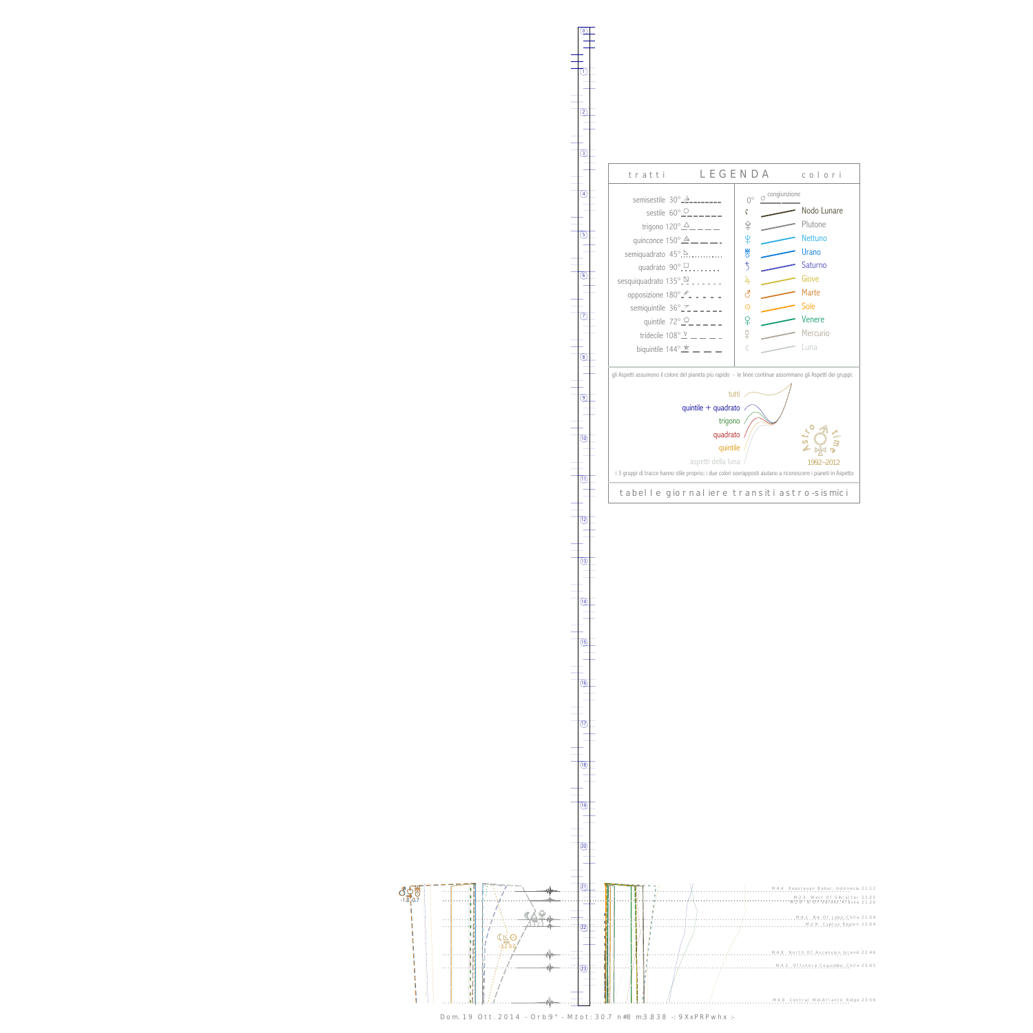